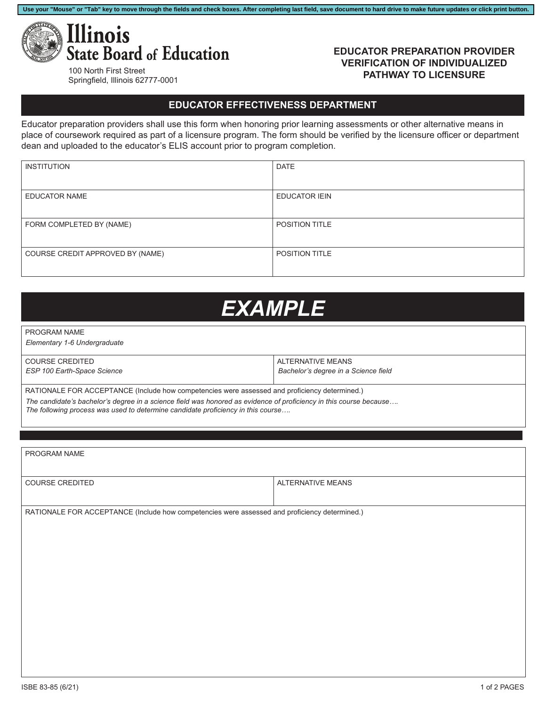

## 100 North First Street Springfield, Illinois 62777-0001

## **EDUCATOR PREPARATION PROVIDER VERIFICATION OF INDIVIDUALIZED PATHWAY TO LICENSURE**

## **EDUCATOR EFFECTIVENESS DEPARTMENT**

**Use your "Mouse" or "Tab" key to move through the fields and check boxes. After completing last field, save document to hard drive to make future updates or click print button.**

Educator preparation providers shall use this form when honoring prior learning assessments or other alternative means in place of coursework required as part of a licensure program. The form should be verified by the licensure officer or department dean and uploaded to the educator's ELIS account prior to program completion.

| <b>INSTITUTION</b>               | <b>DATE</b>           |
|----------------------------------|-----------------------|
|                                  |                       |
| <b>EDUCATOR NAME</b>             | <b>EDUCATOR IEIN</b>  |
|                                  |                       |
| FORM COMPLETED BY (NAME)         | POSITION TITLE        |
|                                  |                       |
| COURSE CREDIT APPROVED BY (NAME) | <b>POSITION TITLE</b> |
|                                  |                       |

## *EXAMPLE*

PROGRAM NAME

*Elementary 1-6 Undergraduate*

| l COURSE CREDITED           | ALTERNATIVE MEANS                    |
|-----------------------------|--------------------------------------|
| ESP 100 Earth-Space Science | Bachelor's degree in a Science field |
|                             |                                      |

RATIONALE FOR ACCEPTANCE (Include how competencies were assessed and proficiency determined.)

*The candidate's bachelor's degree in a science field was honored as evidence of proficiency in this course because….*

*The following process was used to determine candidate proficiency in this course….*

| PROGRAM NAME                                                                                  |                   |  |
|-----------------------------------------------------------------------------------------------|-------------------|--|
| COURSE CREDITED                                                                               | ALTERNATIVE MEANS |  |
|                                                                                               |                   |  |
| RATIONALE FOR ACCEPTANCE (Include how competencies were assessed and proficiency determined.) |                   |  |
|                                                                                               |                   |  |
|                                                                                               |                   |  |
|                                                                                               |                   |  |
|                                                                                               |                   |  |
|                                                                                               |                   |  |
|                                                                                               |                   |  |
|                                                                                               |                   |  |
|                                                                                               |                   |  |